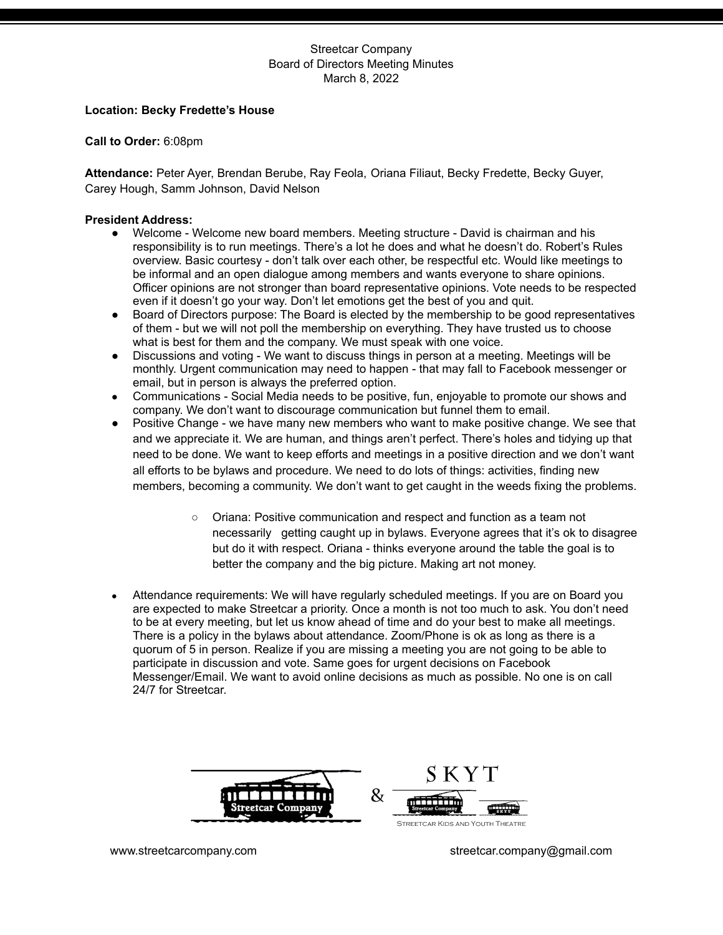#### **Location: Becky Fredette's House**

**Call to Order:** 6:08pm

**Attendance:** Peter Ayer, Brendan Berube, Ray Feola, Oriana Filiaut, Becky Fredette, Becky Guyer, Carey Hough, Samm Johnson, David Nelson

#### **President Address:**

- Welcome Welcome new board members. Meeting structure David is chairman and his responsibility is to run meetings. There's a lot he does and what he doesn't do. Robert's Rules overview. Basic courtesy - don't talk over each other, be respectful etc. Would like meetings to be informal and an open dialogue among members and wants everyone to share opinions. Officer opinions are not stronger than board representative opinions. Vote needs to be respected even if it doesn't go your way. Don't let emotions get the best of you and quit.
- Board of Directors purpose: The Board is elected by the membership to be good representatives of them - but we will not poll the membership on everything. They have trusted us to choose what is best for them and the company. We must speak with one voice.
- Discussions and voting We want to discuss things in person at a meeting. Meetings will be monthly. Urgent communication may need to happen - that may fall to Facebook messenger or email, but in person is always the preferred option.
- Communications Social Media needs to be positive, fun, enjoyable to promote our shows and company. We don't want to discourage communication but funnel them to email.
- Positive Change we have many new members who want to make positive change. We see that and we appreciate it. We are human, and things aren't perfect. There's holes and tidying up that need to be done. We want to keep efforts and meetings in a positive direction and we don't want all efforts to be bylaws and procedure. We need to do lots of things: activities, finding new members, becoming a community. We don't want to get caught in the weeds fixing the problems.
	- Oriana: Positive communication and respect and function as a team not necessarily getting caught up in bylaws. Everyone agrees that it's ok to disagree but do it with respect. Oriana - thinks everyone around the table the goal is to better the company and the big picture. Making art not money.
- Attendance requirements: We will have requiarly scheduled meetings. If you are on Board you are expected to make Streetcar a priority. Once a month is not too much to ask. You don't need to be at every meeting, but let us know ahead of time and do your best to make all meetings. There is a policy in the bylaws about attendance. Zoom/Phone is ok as long as there is a quorum of 5 in person. Realize if you are missing a meeting you are not going to be able to participate in discussion and vote. Same goes for urgent decisions on Facebook Messenger/Email. We want to avoid online decisions as much as possible. No one is on call 24/7 for Streetcar.

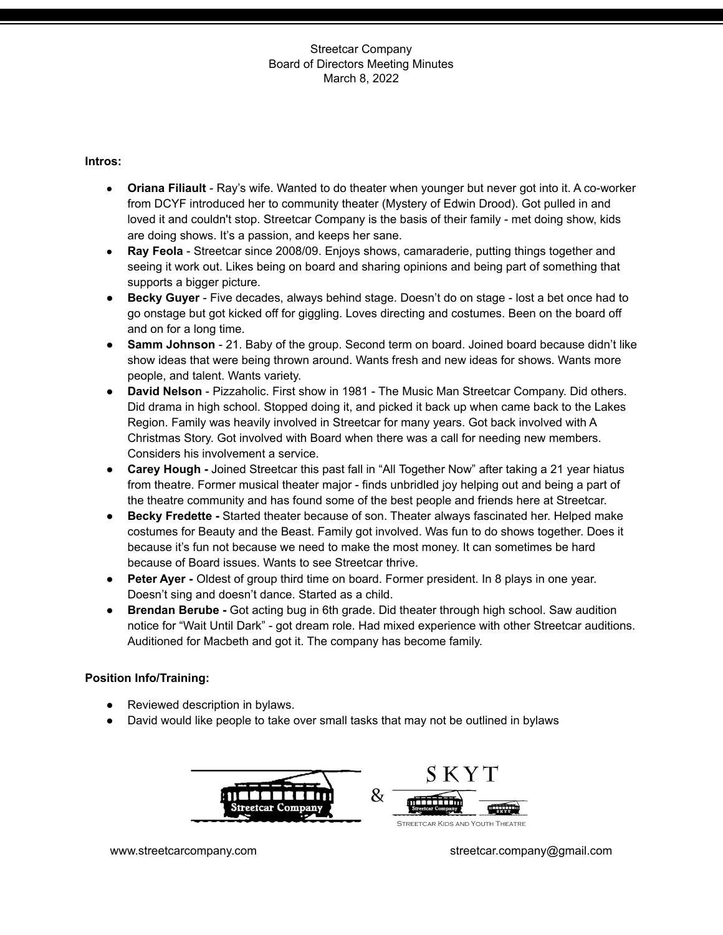### **Intros:**

- **● Oriana Filiault** Ray's wife. Wanted to do theater when younger but never got into it. A co-worker from DCYF introduced her to community theater (Mystery of Edwin Drood). Got pulled in and loved it and couldn't stop. Streetcar Company is the basis of their family - met doing show, kids are doing shows. It's a passion, and keeps her sane.
- **Ray Feola** Streetcar since 2008/09. Enjoys shows, camaraderie, putting things together and seeing it work out. Likes being on board and sharing opinions and being part of something that supports a bigger picture.
- **Becky Guyer** Five decades, always behind stage. Doesn't do on stage lost a bet once had to go onstage but got kicked off for giggling. Loves directing and costumes. Been on the board off and on for a long time.
- **Samm Johnson** 21. Baby of the group. Second term on board. Joined board because didn't like show ideas that were being thrown around. Wants fresh and new ideas for shows. Wants more people, and talent. Wants variety.
- **David Nelson** Pizzaholic. First show in 1981 The Music Man Streetcar Company. Did others. Did drama in high school. Stopped doing it, and picked it back up when came back to the Lakes Region. Family was heavily involved in Streetcar for many years. Got back involved with A Christmas Story. Got involved with Board when there was a call for needing new members. Considers his involvement a service.
- **Carey Hough -** Joined Streetcar this past fall in "All Together Now" after taking a 21 year hiatus from theatre. Former musical theater major - finds unbridled joy helping out and being a part of the theatre community and has found some of the best people and friends here at Streetcar.
- **● Becky Fredette -** Started theater because of son. Theater always fascinated her. Helped make costumes for Beauty and the Beast. Family got involved. Was fun to do shows together. Does it because it's fun not because we need to make the most money. It can sometimes be hard because of Board issues. Wants to see Streetcar thrive.
- **Peter Ayer -** Oldest of group third time on board. Former president. In 8 plays in one year. Doesn't sing and doesn't dance. Started as a child.
- **Brendan Berube -** Got acting bug in 6th grade. Did theater through high school. Saw audition notice for "Wait Until Dark" - got dream role. Had mixed experience with other Streetcar auditions. Auditioned for Macbeth and got it. The company has become family.

## **Position Info/Training:**

- **●** Reviewed description in bylaws.
- **●** David would like people to take over small tasks that may not be outlined in bylaws

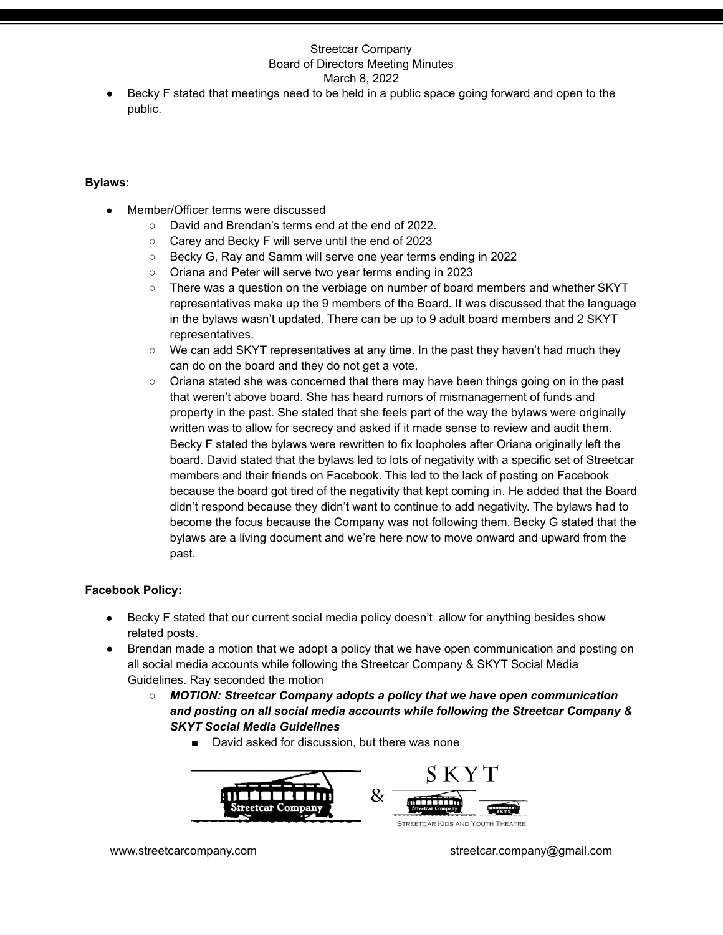Becky F stated that meetings need to be held in a public space going forward and open to the public.

## **Bylaws:**

- Member/Officer terms were discussed
	- David and Brendan's terms end at the end of 2022.
	- Carey and Becky F will serve until the end of 2023
	- Becky G, Ray and Samm will serve one year terms ending in 2022
	- Oriana and Peter will serve two year terms ending in 2023
	- There was a question on the verbiage on number of board members and whether SKYT representatives make up the 9 members of the Board. It was discussed that the language in the bylaws wasn't updated. There can be up to 9 adult board members and 2 SKYT representatives.
	- We can add SKYT representatives at any time. In the past they haven't had much they can do on the board and they do not get a vote.
	- Oriana stated she was concerned that there may have been things going on in the past that weren't above board. She has heard rumors of mismanagement of funds and property in the past. She stated that she feels part of the way the bylaws were originally written was to allow for secrecy and asked if it made sense to review and audit them. Becky F stated the bylaws were rewritten to fix loopholes after Oriana originally left the board. David stated that the bylaws led to lots of negativity with a specific set of Streetcar members and their friends on Facebook. This led to the lack of posting on Facebook because the board got tired of the negativity that kept coming in. He added that the Board didn't respond because they didn't want to continue to add negativity. The bylaws had to become the focus because the Company was not following them. Becky G stated that the bylaws are a living document and we're here now to move onward and upward from the past.

## **Facebook Policy:**

- Becky F stated that our current social media policy doesn't allow for anything besides show related posts.
- Brendan made a motion that we adopt a policy that we have open communication and posting on all social media accounts while following the Streetcar Company & SKYT Social Media Guidelines. Ray seconded the motion
	- *○ MOTION: Streetcar Company adopts a policy that we have open communication and posting on all social media accounts while following the Streetcar Company & SKYT Social Media Guidelines*
		- David asked for discussion, but there was none

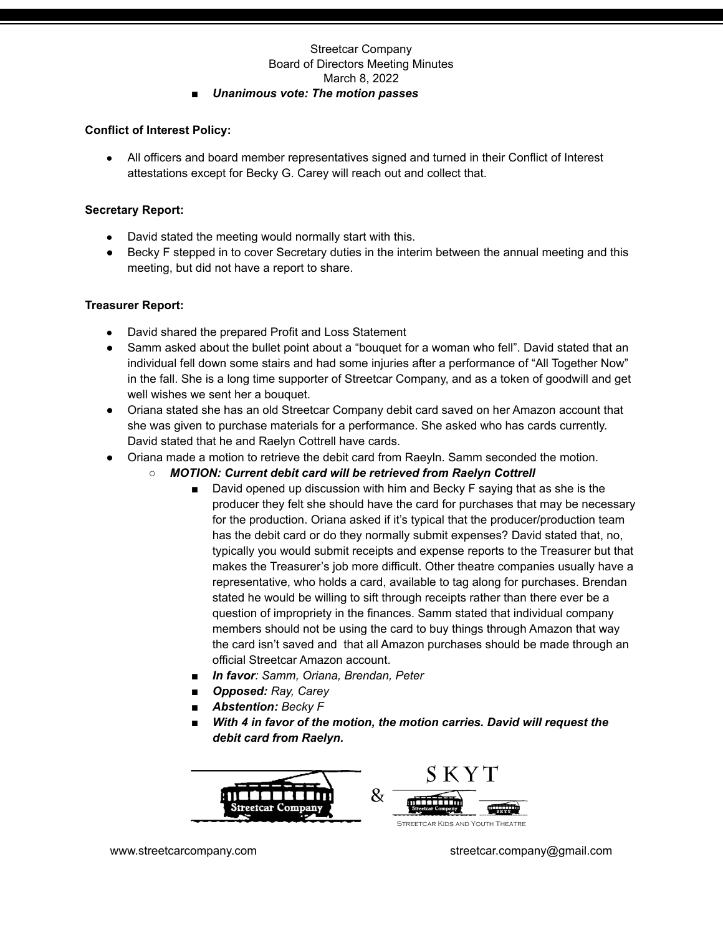## *■ Unanimous vote: The motion passes*

## **Conflict of Interest Policy:**

• All officers and board member representatives signed and turned in their Conflict of Interest attestations except for Becky G. Carey will reach out and collect that.

## **Secretary Report:**

- David stated the meeting would normally start with this.
- Becky F stepped in to cover Secretary duties in the interim between the annual meeting and this meeting, but did not have a report to share.

# **Treasurer Report:**

- David shared the prepared Profit and Loss Statement
- Samm asked about the bullet point about a "bouquet for a woman who fell". David stated that an individual fell down some stairs and had some injuries after a performance of "All Together Now" in the fall. She is a long time supporter of Streetcar Company, and as a token of goodwill and get well wishes we sent her a bouquet.
- Oriana stated she has an old Streetcar Company debit card saved on her Amazon account that she was given to purchase materials for a performance. She asked who has cards currently. David stated that he and Raelyn Cottrell have cards.
- Oriana made a motion to retrieve the debit card from Raeyln. Samm seconded the motion.
	- *○ MOTION: Current debit card will be retrieved from Raelyn Cottrell*
		- David opened up discussion with him and Becky F saying that as she is the producer they felt she should have the card for purchases that may be necessary for the production. Oriana asked if it's typical that the producer/production team has the debit card or do they normally submit expenses? David stated that, no, typically you would submit receipts and expense reports to the Treasurer but that makes the Treasurer's job more difficult. Other theatre companies usually have a representative, who holds a card, available to tag along for purchases. Brendan stated he would be willing to sift through receipts rather than there ever be a question of impropriety in the finances. Samm stated that individual company members should not be using the card to buy things through Amazon that way the card isn't saved and that all Amazon purchases should be made through an official Streetcar Amazon account.
		- *■ In favor: Samm, Oriana, Brendan, Peter*
		- *■ Opposed: Ray, Carey*
		- *■ Abstention: Becky F*
		- *■ With 4 in favor of the motion, the motion carries. David will request the debit card from Raelyn.*

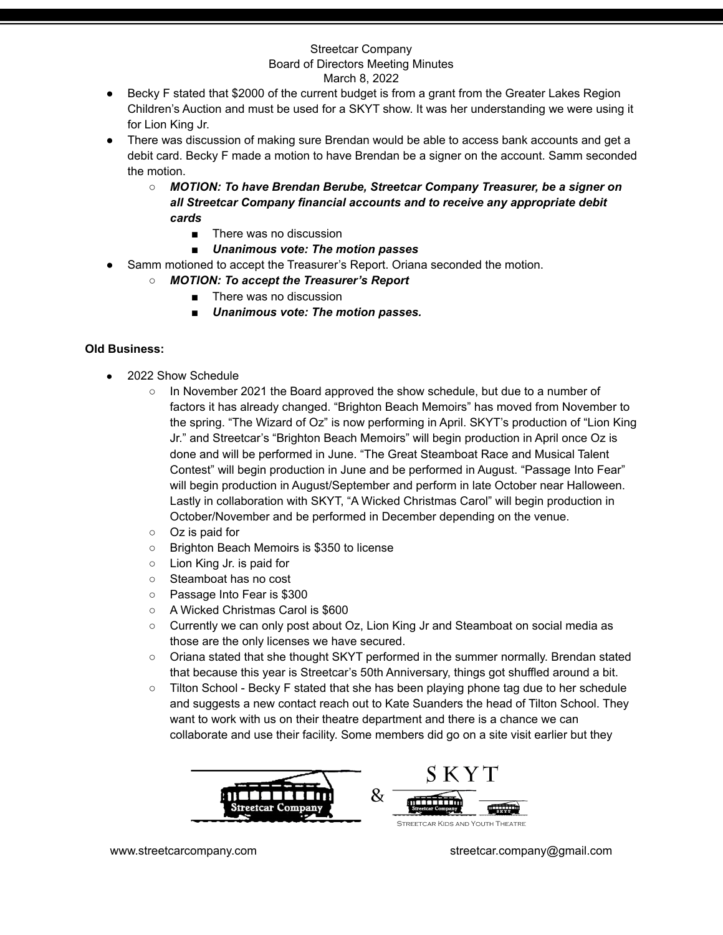- Becky F stated that \$2000 of the current budget is from a grant from the Greater Lakes Region Children's Auction and must be used for a SKYT show. It was her understanding we were using it for Lion King Jr.
- There was discussion of making sure Brendan would be able to access bank accounts and get a debit card. Becky F made a motion to have Brendan be a signer on the account. Samm seconded the motion.
	- *○ MOTION: To have Brendan Berube, Streetcar Company Treasurer, be a signer on all Streetcar Company financial accounts and to receive any appropriate debit cards*
		- There was no discussion
		- *■ Unanimous vote: The motion passes*
- Samm motioned to accept the Treasurer's Report. Oriana seconded the motion.
	- *○ MOTION: To accept the Treasurer's Report*
		- There was no discussion
		- *■ Unanimous vote: The motion passes.*

# **Old Business:**

- 2022 Show Schedule
	- In November 2021 the Board approved the show schedule, but due to a number of factors it has already changed. "Brighton Beach Memoirs" has moved from November to the spring. "The Wizard of Oz" is now performing in April. SKYT's production of "Lion King Jr." and Streetcar's "Brighton Beach Memoirs" will begin production in April once Oz is done and will be performed in June. "The Great Steamboat Race and Musical Talent Contest" will begin production in June and be performed in August. "Passage Into Fear" will begin production in August/September and perform in late October near Halloween. Lastly in collaboration with SKYT, "A Wicked Christmas Carol" will begin production in October/November and be performed in December depending on the venue.
	- Oz is paid for
	- Brighton Beach Memoirs is \$350 to license
	- Lion King Jr. is paid for
	- Steamboat has no cost
	- Passage Into Fear is \$300
	- A Wicked Christmas Carol is \$600
	- Currently we can only post about Oz, Lion King Jr and Steamboat on social media as those are the only licenses we have secured.
	- Oriana stated that she thought SKYT performed in the summer normally. Brendan stated that because this year is Streetcar's 50th Anniversary, things got shuffled around a bit.
	- Tilton School Becky F stated that she has been playing phone tag due to her schedule and suggests a new contact reach out to Kate Suanders the head of Tilton School. They want to work with us on their theatre department and there is a chance we can collaborate and use their facility. Some members did go on a site visit earlier but they

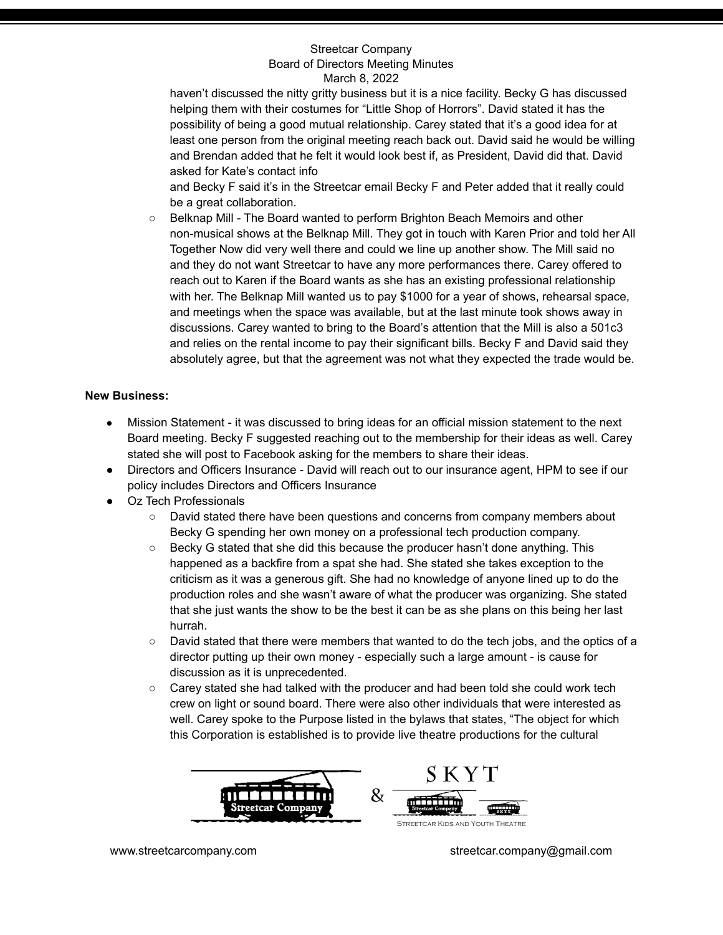haven't discussed the nitty gritty business but it is a nice facility. Becky G has discussed helping them with their costumes for "Little Shop of Horrors". David stated it has the possibility of being a good mutual relationship. Carey stated that it's a good idea for at least one person from the original meeting reach back out. David said he would be willing and Brendan added that he felt it would look best if, as President, David did that. David asked for Kate's contact info

and Becky F said it's in the Streetcar email Becky F and Peter added that it really could be a great collaboration.

○ Belknap Mill - The Board wanted to perform Brighton Beach Memoirs and other non-musical shows at the Belknap Mill. They got in touch with Karen Prior and told her All Together Now did very well there and could we line up another show. The Mill said no and they do not want Streetcar to have any more performances there. Carey offered to reach out to Karen if the Board wants as she has an existing professional relationship with her. The Belknap Mill wanted us to pay \$1000 for a year of shows, rehearsal space, and meetings when the space was available, but at the last minute took shows away in discussions. Carey wanted to bring to the Board's attention that the Mill is also a 501c3 and relies on the rental income to pay their significant bills. Becky F and David said they absolutely agree, but that the agreement was not what they expected the trade would be.

## **New Business:**

- Mission Statement it was discussed to bring ideas for an official mission statement to the next Board meeting. Becky F suggested reaching out to the membership for their ideas as well. Carey stated she will post to Facebook asking for the members to share their ideas.
- Directors and Officers Insurance David will reach out to our insurance agent, HPM to see if our policy includes Directors and Officers Insurance
- Oz Tech Professionals
	- David stated there have been questions and concerns from company members about Becky G spending her own money on a professional tech production company.
	- Becky G stated that she did this because the producer hasn't done anything. This happened as a backfire from a spat she had. She stated she takes exception to the criticism as it was a generous gift. She had no knowledge of anyone lined up to do the production roles and she wasn't aware of what the producer was organizing. She stated that she just wants the show to be the best it can be as she plans on this being her last hurrah.
	- David stated that there were members that wanted to do the tech jobs, and the optics of a director putting up their own money - especially such a large amount - is cause for discussion as it is unprecedented.
	- Carey stated she had talked with the producer and had been told she could work tech crew on light or sound board. There were also other individuals that were interested as well. Carey spoke to the Purpose listed in the bylaws that states, "The object for which this Corporation is established is to provide live theatre productions for the cultural

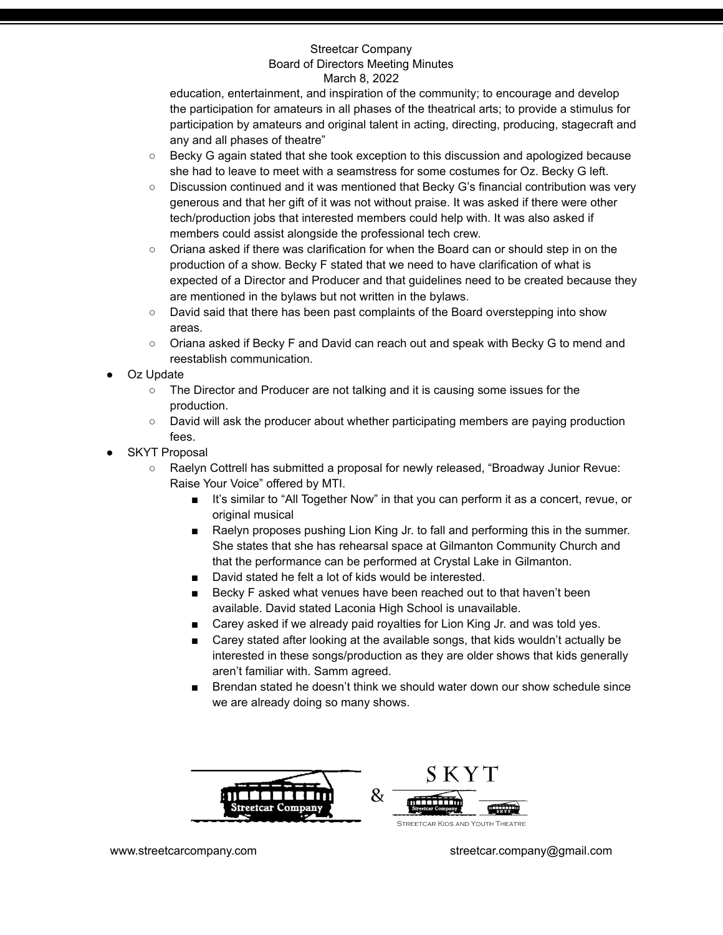education, entertainment, and inspiration of the community; to encourage and develop the participation for amateurs in all phases of the theatrical arts; to provide a stimulus for participation by amateurs and original talent in acting, directing, producing, stagecraft and any and all phases of theatre"

- Becky G again stated that she took exception to this discussion and apologized because she had to leave to meet with a seamstress for some costumes for Oz. Becky G left.
- Discussion continued and it was mentioned that Becky G's financial contribution was very generous and that her gift of it was not without praise. It was asked if there were other tech/production jobs that interested members could help with. It was also asked if members could assist alongside the professional tech crew.
- Oriana asked if there was clarification for when the Board can or should step in on the production of a show. Becky F stated that we need to have clarification of what is expected of a Director and Producer and that guidelines need to be created because they are mentioned in the bylaws but not written in the bylaws.
- David said that there has been past complaints of the Board overstepping into show areas.
- Oriana asked if Becky F and David can reach out and speak with Becky G to mend and reestablish communication.
- Oz Update
	- The Director and Producer are not talking and it is causing some issues for the production.
	- David will ask the producer about whether participating members are paying production fees.
- **SKYT Proposal** 
	- Raelyn Cottrell has submitted a proposal for newly released, "Broadway Junior Revue: Raise Your Voice" offered by MTI.
		- It's similar to "All Together Now" in that you can perform it as a concert, revue, or original musical
		- Raelyn proposes pushing Lion King Jr. to fall and performing this in the summer. She states that she has rehearsal space at Gilmanton Community Church and that the performance can be performed at Crystal Lake in Gilmanton.
		- David stated he felt a lot of kids would be interested.
		- Becky F asked what venues have been reached out to that haven't been available. David stated Laconia High School is unavailable.
		- Carey asked if we already paid royalties for Lion King Jr. and was told yes.
		- Carey stated after looking at the available songs, that kids wouldn't actually be interested in these songs/production as they are older shows that kids generally aren't familiar with. Samm agreed.
		- Brendan stated he doesn't think we should water down our show schedule since we are already doing so many shows.

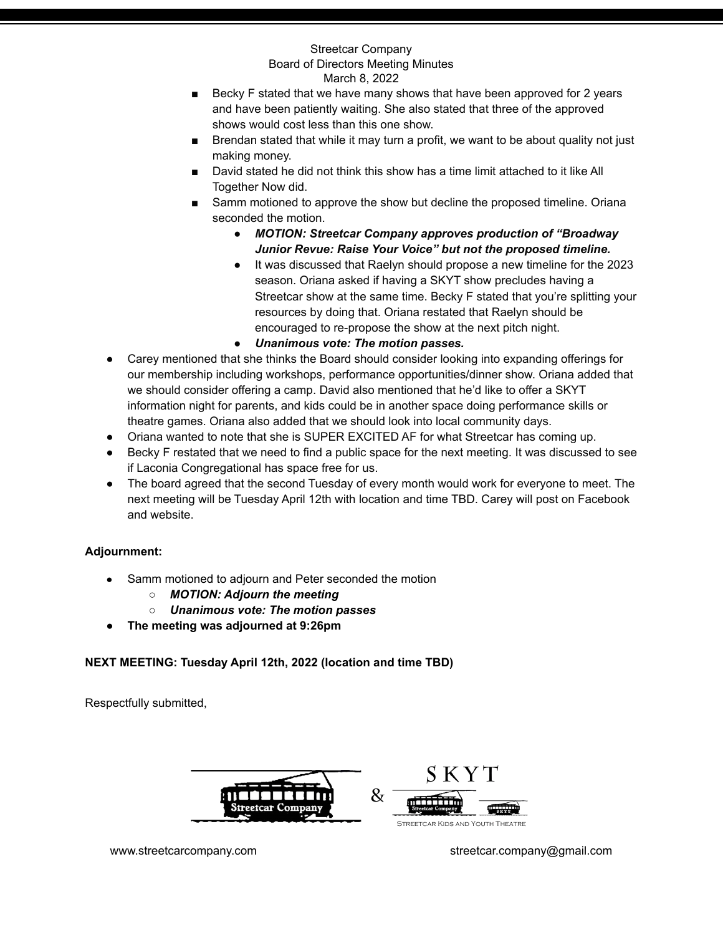- Becky F stated that we have many shows that have been approved for 2 years and have been patiently waiting. She also stated that three of the approved shows would cost less than this one show.
- Brendan stated that while it may turn a profit, we want to be about quality not just making money.
- David stated he did not think this show has a time limit attached to it like All Together Now did.
- Samm motioned to approve the show but decline the proposed timeline. Oriana seconded the motion.
	- *● MOTION: Streetcar Company approves production of "Broadway Junior Revue: Raise Your Voice" but not the proposed timeline.*
	- It was discussed that Raelyn should propose a new timeline for the 2023 season. Oriana asked if having a SKYT show precludes having a Streetcar show at the same time. Becky F stated that you're splitting your resources by doing that. Oriana restated that Raelyn should be encouraged to re-propose the show at the next pitch night.
	- *● Unanimous vote: The motion passes.*
- Carey mentioned that she thinks the Board should consider looking into expanding offerings for our membership including workshops, performance opportunities/dinner show. Oriana added that we should consider offering a camp. David also mentioned that he'd like to offer a SKYT information night for parents, and kids could be in another space doing performance skills or theatre games. Oriana also added that we should look into local community days.
- Oriana wanted to note that she is SUPER EXCITED AF for what Streetcar has coming up.
- Becky F restated that we need to find a public space for the next meeting. It was discussed to see if Laconia Congregational has space free for us.
- The board agreed that the second Tuesday of every month would work for everyone to meet. The next meeting will be Tuesday April 12th with location and time TBD. Carey will post on Facebook and website.

# **Adjournment:**

- Samm motioned to adjourn and Peter seconded the motion
	- *○ MOTION: Adjourn the meeting*
	- *○ Unanimous vote: The motion passes*
- **● The meeting was adjourned at 9:26pm**

# **NEXT MEETING: Tuesday April 12th, 2022 (location and time TBD)**

Respectfully submitted,